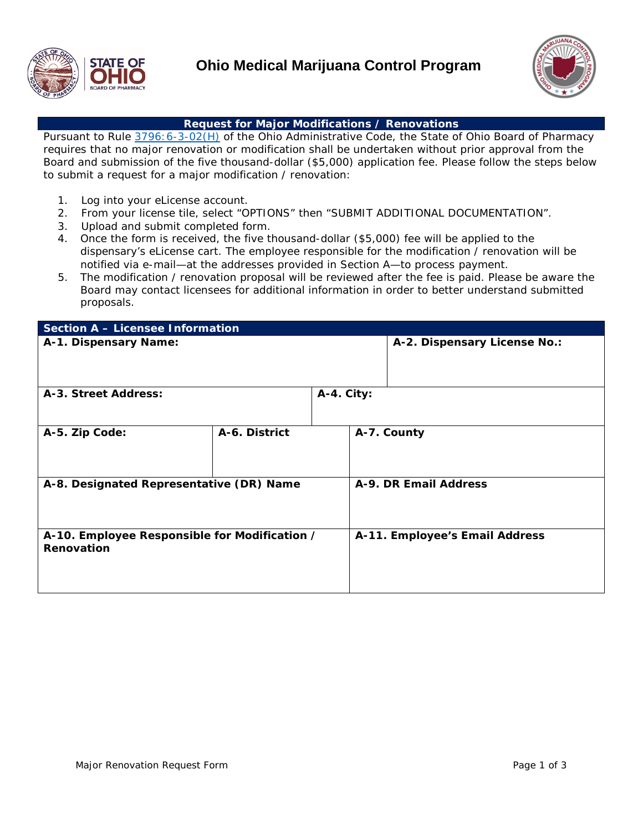



#### **Request for Major Modifications / Renovations**

Pursuant to Rule  $3796:6-3-02(H)$  of the Ohio Administrative Code, the State of Ohio Board of Pharmacy requires that no major renovation or modification shall be undertaken without prior approval from the Board and submission of the five thousand-dollar (\$5,000) application fee. Please follow the steps below to submit a request for a major modification / renovation:

- 1. Log into your eLicense account.
- 2. From your license tile, select "OPTIONS" then "SUBMIT ADDITIONAL DOCUMENTATION".
- 3. Upload and submit completed form.
- 4. Once the form is received, the five thousand-dollar (\$5,000) fee will be applied to the dispensary's eLicense cart. The employee responsible for the modification / renovation will be notified via e-mail—at the addresses provided in Section A—to process payment.
- 5. The modification / renovation proposal will be reviewed after the fee is paid. Please be aware the Board may contact licensees for additional information in order to better understand submitted proposals.

| <b>Section A - Licensee Information</b>                     |               |            |                                |  |  |  |  |
|-------------------------------------------------------------|---------------|------------|--------------------------------|--|--|--|--|
| A-1. Dispensary Name:                                       |               |            | A-2. Dispensary License No.:   |  |  |  |  |
| A-3. Street Address:                                        |               | A-4. City: |                                |  |  |  |  |
| A-5. Zip Code:                                              | A-6. District |            | A-7. County                    |  |  |  |  |
| A-8. Designated Representative (DR) Name                    |               |            | A-9. DR Email Address          |  |  |  |  |
| A-10. Employee Responsible for Modification /<br>Renovation |               |            | A-11. Employee's Email Address |  |  |  |  |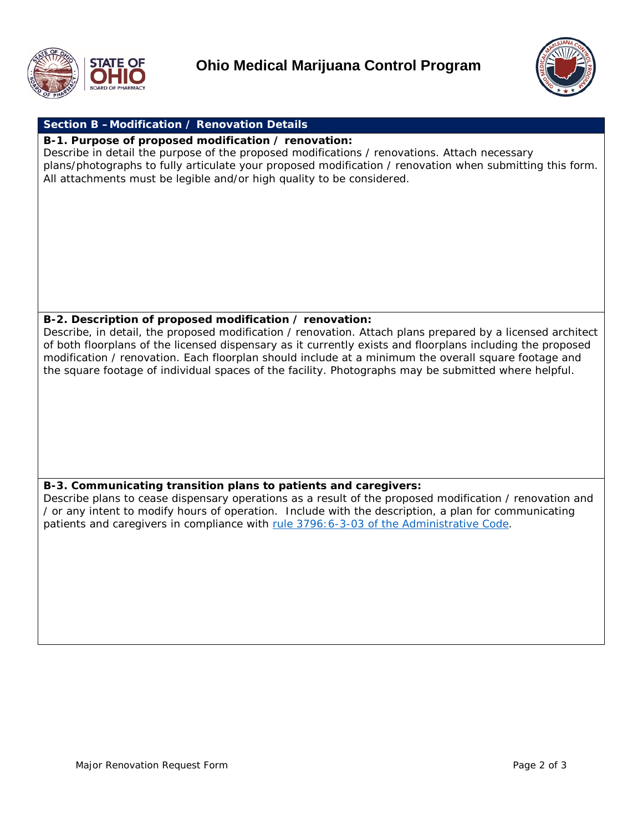



# **Section B –Modification / Renovation Details**

#### **B-1. Purpose of proposed modification / renovation:**

Describe in detail the purpose of the proposed modifications / renovations. Attach necessary plans/photographs to fully articulate your proposed modification / renovation when submitting this form. All attachments must be legible and/or high quality to be considered.

## **B-2. Description of proposed modification / renovation:**

Describe, in detail, the proposed modification / renovation. Attach plans prepared by a licensed architect of both floorplans of the licensed dispensary as it currently exists and floorplans including the proposed modification / renovation. Each floorplan should include at a minimum the overall square footage and the square footage of individual spaces of the facility. Photographs may be submitted where helpful.

### **B-3. Communicating transition plans to patients and caregivers:**

Describe plans to cease dispensary operations as a result of the proposed modification / renovation and / or any intent to modify hours of operation. Include with the description, a plan for communicating patients and caregivers in compliance with [rule 3796:6-3-03 of the Administrative Code.](http://codes.ohio.gov/oac/3796:6-3-03v1)